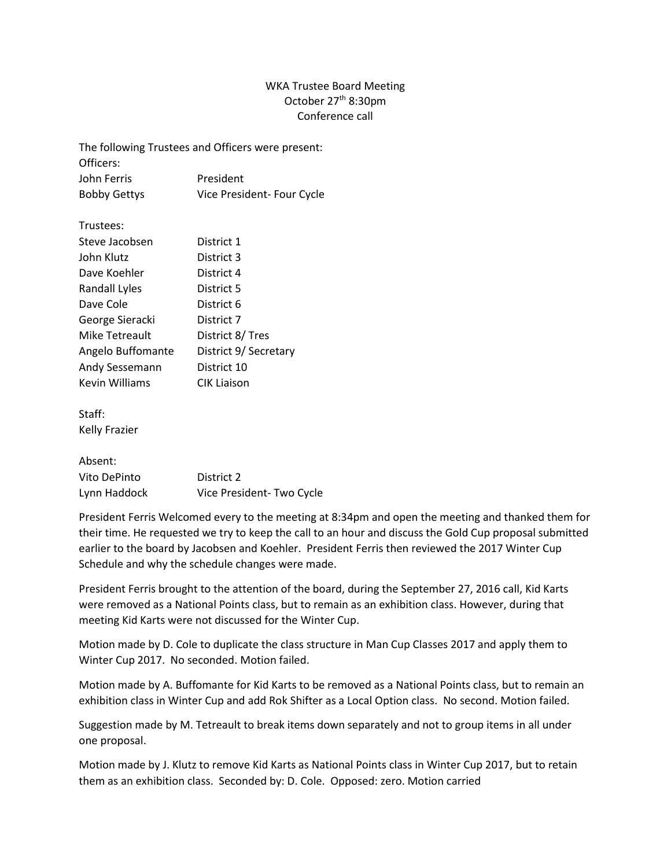## WKA Trustee Board Meeting October 27th 8:30pm Conference call

The following Trustees and Officers were present: Officers: John Ferris President Bobby Gettys Vice President- Four Cycle

| Trustees: |  |
|-----------|--|
|-----------|--|

| Steve Jacobsen        | District 1            |
|-----------------------|-----------------------|
| John Klutz            | District 3            |
| Dave Koehler          | District 4            |
| Randall Lyles         | District 5            |
| Dave Cole             | District 6            |
| George Sieracki       | District 7            |
| Mike Tetreault        | District 8/ Tres      |
| Angelo Buffomante     | District 9/ Secretary |
| Andy Sessemann        | District 10           |
| <b>Kevin Williams</b> | <b>CIK Liaison</b>    |
|                       |                       |

Staff: Kelly Frazier

## Absent:

| Vito DePinto | District 2               |
|--------------|--------------------------|
| Lynn Haddock | Vice President-Two Cycle |

President Ferris Welcomed every to the meeting at 8:34pm and open the meeting and thanked them for their time. He requested we try to keep the call to an hour and discuss the Gold Cup proposal submitted earlier to the board by Jacobsen and Koehler. President Ferris then reviewed the 2017 Winter Cup Schedule and why the schedule changes were made.

President Ferris brought to the attention of the board, during the September 27, 2016 call, Kid Karts were removed as a National Points class, but to remain as an exhibition class. However, during that meeting Kid Karts were not discussed for the Winter Cup.

Motion made by D. Cole to duplicate the class structure in Man Cup Classes 2017 and apply them to Winter Cup 2017. No seconded. Motion failed.

Motion made by A. Buffomante for Kid Karts to be removed as a National Points class, but to remain an exhibition class in Winter Cup and add Rok Shifter as a Local Option class. No second. Motion failed.

Suggestion made by M. Tetreault to break items down separately and not to group items in all under one proposal.

Motion made by J. Klutz to remove Kid Karts as National Points class in Winter Cup 2017, but to retain them as an exhibition class. Seconded by: D. Cole. Opposed: zero. Motion carried